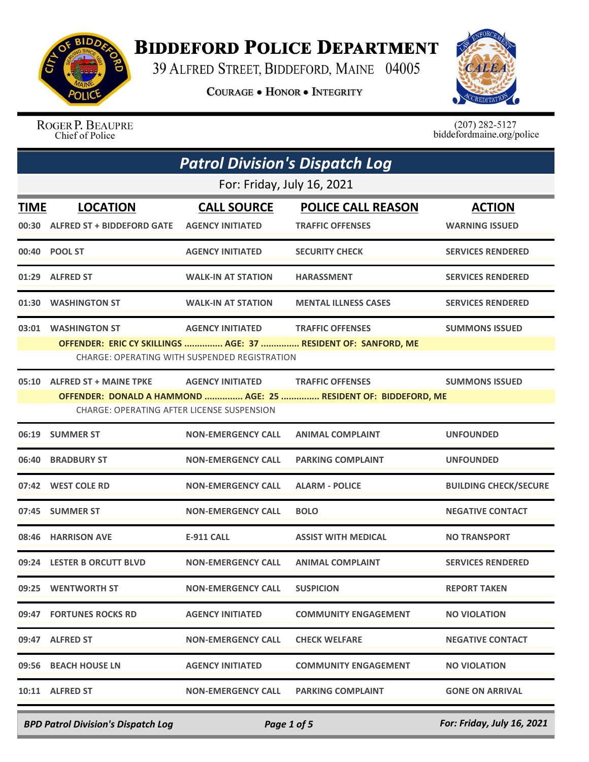

## **BIDDEFORD POLICE DEPARTMENT**

39 ALFRED STREET, BIDDEFORD, MAINE 04005

**COURAGE . HONOR . INTEGRITY** 



ROGER P. BEAUPRE<br>Chief of Police

 $(207)$  282-5127<br>biddefordmaine.org/police

|             | <b>Patrol Division's Dispatch Log</b>                                      |                                                                                 |                                                                                            |                                        |  |
|-------------|----------------------------------------------------------------------------|---------------------------------------------------------------------------------|--------------------------------------------------------------------------------------------|----------------------------------------|--|
|             | For: Friday, July 16, 2021                                                 |                                                                                 |                                                                                            |                                        |  |
| <b>TIME</b> | <b>LOCATION</b><br>00:30 ALFRED ST + BIDDEFORD GATE                        | <b>CALL SOURCE</b><br><b>AGENCY INITIATED</b>                                   | <b>POLICE CALL REASON</b><br><b>TRAFFIC OFFENSES</b>                                       | <b>ACTION</b><br><b>WARNING ISSUED</b> |  |
|             | 00:40 POOL ST                                                              | <b>AGENCY INITIATED</b>                                                         | <b>SECURITY CHECK</b>                                                                      | <b>SERVICES RENDERED</b>               |  |
|             | 01:29 ALFRED ST                                                            | <b>WALK-IN AT STATION</b>                                                       | <b>HARASSMENT</b>                                                                          | <b>SERVICES RENDERED</b>               |  |
| 01:30       | <b>WASHINGTON ST</b>                                                       | <b>WALK-IN AT STATION</b>                                                       | <b>MENTAL ILLNESS CASES</b>                                                                | <b>SERVICES RENDERED</b>               |  |
| 03:01       | <b>WASHINGTON ST</b>                                                       | <b>AGENCY INITIATED</b><br><b>CHARGE: OPERATING WITH SUSPENDED REGISTRATION</b> | <b>TRAFFIC OFFENSES</b><br>OFFENDER: ERIC CY SKILLINGS  AGE: 37  RESIDENT OF: SANFORD, ME  | <b>SUMMONS ISSUED</b>                  |  |
|             | 05:10 ALFRED ST + MAINE TPKE<br>CHARGE: OPERATING AFTER LICENSE SUSPENSION | <b>AGENCY INITIATED</b>                                                         | <b>TRAFFIC OFFENSES</b><br>OFFENDER: DONALD A HAMMOND  AGE: 25  RESIDENT OF: BIDDEFORD, ME | <b>SUMMONS ISSUED</b>                  |  |
|             | 06:19 SUMMER ST                                                            | <b>NON-EMERGENCY CALL</b>                                                       | <b>ANIMAL COMPLAINT</b>                                                                    | <b>UNFOUNDED</b>                       |  |
|             | 06:40 BRADBURY ST                                                          | <b>NON-EMERGENCY CALL</b>                                                       | <b>PARKING COMPLAINT</b>                                                                   | <b>UNFOUNDED</b>                       |  |
|             | 07:42 WEST COLE RD                                                         | <b>NON-EMERGENCY CALL</b>                                                       | <b>ALARM - POLICE</b>                                                                      | <b>BUILDING CHECK/SECURE</b>           |  |
|             | 07:45 SUMMER ST                                                            | <b>NON-EMERGENCY CALL</b>                                                       | <b>BOLO</b>                                                                                | <b>NEGATIVE CONTACT</b>                |  |
|             | 08:46 HARRISON AVE                                                         | E-911 CALL                                                                      | <b>ASSIST WITH MEDICAL</b>                                                                 | <b>NO TRANSPORT</b>                    |  |
|             | 09:24 LESTER B ORCUTT BLVD                                                 | <b>NON-EMERGENCY CALL</b>                                                       | <b>ANIMAL COMPLAINT</b>                                                                    | <b>SERVICES RENDERED</b>               |  |
|             | 09:25 WENTWORTH ST                                                         | <b>NON-EMERGENCY CALL</b>                                                       | <b>SUSPICION</b>                                                                           | <b>REPORT TAKEN</b>                    |  |
|             | 09:47 FORTUNES ROCKS RD                                                    | <b>AGENCY INITIATED</b>                                                         | <b>COMMUNITY ENGAGEMENT</b>                                                                | <b>NO VIOLATION</b>                    |  |
|             | 09:47 ALFRED ST                                                            | <b>NON-EMERGENCY CALL</b>                                                       | <b>CHECK WELFARE</b>                                                                       | <b>NEGATIVE CONTACT</b>                |  |
|             | 09:56 BEACH HOUSE LN                                                       | <b>AGENCY INITIATED</b>                                                         | <b>COMMUNITY ENGAGEMENT</b>                                                                | <b>NO VIOLATION</b>                    |  |
|             | 10:11 ALFRED ST                                                            | <b>NON-EMERGENCY CALL</b>                                                       | <b>PARKING COMPLAINT</b>                                                                   | <b>GONE ON ARRIVAL</b>                 |  |

*BPD Patrol Division's Dispatch Log Page 1 of 5 For: Friday, July 16, 2021*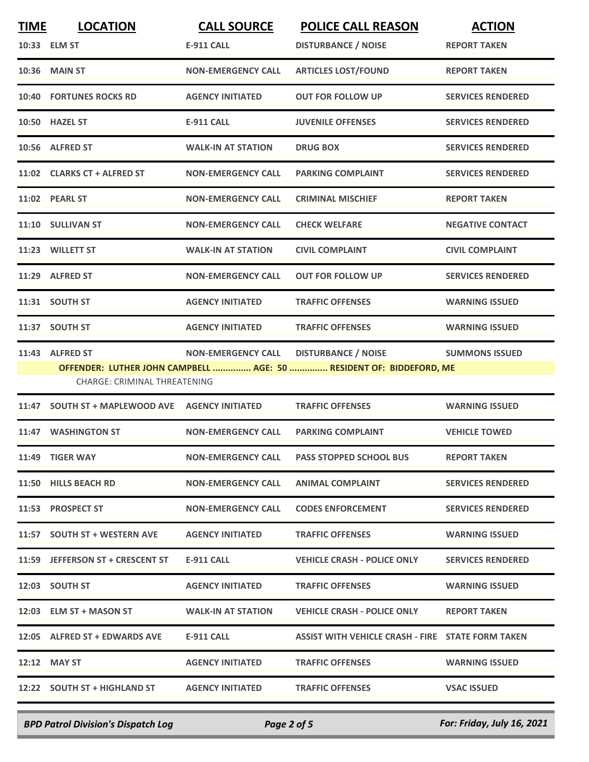| <b>TIME</b> | <b>LOCATION</b>                  | <b>CALL SOURCE</b>        | <b>POLICE CALL REASON</b>                                           | <b>ACTION</b>            |
|-------------|----------------------------------|---------------------------|---------------------------------------------------------------------|--------------------------|
|             | 10:33 ELM ST                     | <b>E-911 CALL</b>         | <b>DISTURBANCE / NOISE</b>                                          | <b>REPORT TAKEN</b>      |
|             | <b>10:36 MAIN ST</b>             | <b>NON-EMERGENCY CALL</b> | <b>ARTICLES LOST/FOUND</b>                                          | <b>REPORT TAKEN</b>      |
|             | <b>10:40 FORTUNES ROCKS RD</b>   | <b>AGENCY INITIATED</b>   | <b>OUT FOR FOLLOW UP</b>                                            | <b>SERVICES RENDERED</b> |
|             | 10:50 HAZEL ST                   | <b>E-911 CALL</b>         | <b>JUVENILE OFFENSES</b>                                            | <b>SERVICES RENDERED</b> |
|             | 10:56 ALFRED ST                  | <b>WALK-IN AT STATION</b> | <b>DRUG BOX</b>                                                     | <b>SERVICES RENDERED</b> |
|             | 11:02 CLARKS CT + ALFRED ST      | <b>NON-EMERGENCY CALL</b> | <b>PARKING COMPLAINT</b>                                            | <b>SERVICES RENDERED</b> |
|             | 11:02 PEARL ST                   | <b>NON-EMERGENCY CALL</b> | <b>CRIMINAL MISCHIEF</b>                                            | <b>REPORT TAKEN</b>      |
|             | 11:10 SULLIVAN ST                | <b>NON-EMERGENCY CALL</b> | <b>CHECK WELFARE</b>                                                | <b>NEGATIVE CONTACT</b>  |
|             | 11:23 WILLETT ST                 | <b>WALK-IN AT STATION</b> | <b>CIVIL COMPLAINT</b>                                              | <b>CIVIL COMPLAINT</b>   |
|             | 11:29 ALFRED ST                  | <b>NON-EMERGENCY CALL</b> | <b>OUT FOR FOLLOW UP</b>                                            | <b>SERVICES RENDERED</b> |
|             | 11:31 SOUTH ST                   | <b>AGENCY INITIATED</b>   | <b>TRAFFIC OFFENSES</b>                                             | <b>WARNING ISSUED</b>    |
|             | 11:37 SOUTH ST                   | <b>AGENCY INITIATED</b>   | <b>TRAFFIC OFFENSES</b>                                             | <b>WARNING ISSUED</b>    |
| 11:43       | <b>ALFRED ST</b>                 | <b>NON-EMERGENCY CALL</b> | <b>DISTURBANCE / NOISE</b>                                          | <b>SUMMONS ISSUED</b>    |
|             | CHARGE: CRIMINAL THREATENING     |                           | OFFENDER: LUTHER JOHN CAMPBELL  AGE: 50  RESIDENT OF: BIDDEFORD, ME |                          |
| 11:47       | <b>SOUTH ST + MAPLEWOOD AVE</b>  | <b>AGENCY INITIATED</b>   | <b>TRAFFIC OFFENSES</b>                                             | <b>WARNING ISSUED</b>    |
| 11:47       | <b>WASHINGTON ST</b>             | <b>NON-EMERGENCY CALL</b> | <b>PARKING COMPLAINT</b>                                            | <b>VEHICLE TOWED</b>     |
|             | 11:49 TIGER WAY                  | <b>NON-EMERGENCY CALL</b> | <b>PASS STOPPED SCHOOL BUS</b>                                      | <b>REPORT TAKEN</b>      |
|             | 11:50 HILLS BEACH RD             | <b>NON-EMERGENCY CALL</b> | <b>ANIMAL COMPLAINT</b>                                             | <b>SERVICES RENDERED</b> |
|             | 11:53 PROSPECT ST                | <b>NON-EMERGENCY CALL</b> | <b>CODES ENFORCEMENT</b>                                            | <b>SERVICES RENDERED</b> |
|             | 11:57 SOUTH ST + WESTERN AVE     | <b>AGENCY INITIATED</b>   | <b>TRAFFIC OFFENSES</b>                                             | <b>WARNING ISSUED</b>    |
|             | 11:59 JEFFERSON ST + CRESCENT ST | E-911 CALL                | <b>VEHICLE CRASH - POLICE ONLY</b>                                  | <b>SERVICES RENDERED</b> |
|             | 12:03 SOUTH ST                   | <b>AGENCY INITIATED</b>   | <b>TRAFFIC OFFENSES</b>                                             | <b>WARNING ISSUED</b>    |
|             | 12:03 ELM ST + MASON ST          | <b>WALK-IN AT STATION</b> | <b>VEHICLE CRASH - POLICE ONLY</b>                                  | <b>REPORT TAKEN</b>      |
|             | 12:05 ALFRED ST + EDWARDS AVE    | E-911 CALL                | ASSIST WITH VEHICLE CRASH - FIRE STATE FORM TAKEN                   |                          |
|             | 12:12 MAY ST                     | <b>AGENCY INITIATED</b>   | <b>TRAFFIC OFFENSES</b>                                             | <b>WARNING ISSUED</b>    |
|             | 12:22 SOUTH ST + HIGHLAND ST     | <b>AGENCY INITIATED</b>   | <b>TRAFFIC OFFENSES</b>                                             | <b>VSAC ISSUED</b>       |
|             |                                  |                           |                                                                     |                          |

*BPD Patrol Division's Dispatch Log Page 2 of 5 For: Friday, July 16, 2021*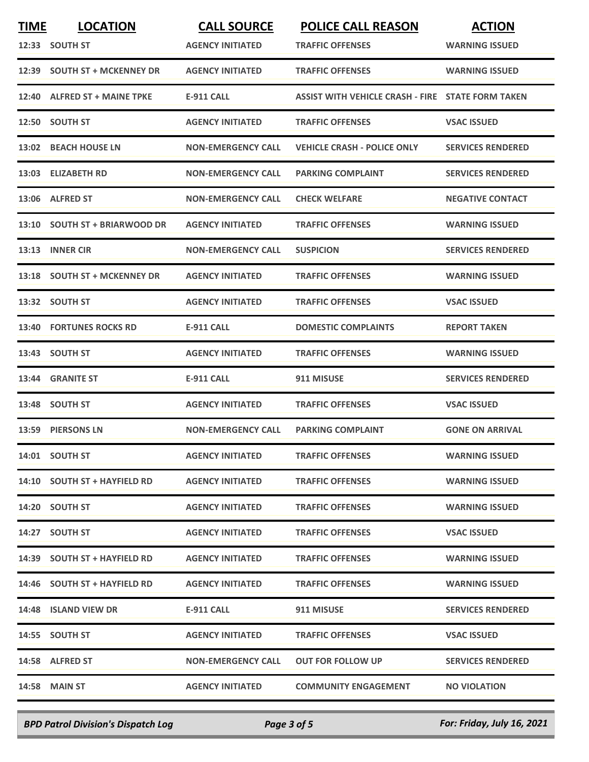| <b>TIME</b> | <b>LOCATION</b>               | <b>CALL SOURCE</b>        | <b>POLICE CALL REASON</b>                                | <b>ACTION</b>            |
|-------------|-------------------------------|---------------------------|----------------------------------------------------------|--------------------------|
|             | 12:33 SOUTH ST                | <b>AGENCY INITIATED</b>   | <b>TRAFFIC OFFENSES</b>                                  | <b>WARNING ISSUED</b>    |
|             | 12:39 SOUTH ST + MCKENNEY DR  | <b>AGENCY INITIATED</b>   | <b>TRAFFIC OFFENSES</b>                                  | <b>WARNING ISSUED</b>    |
| 12:40       | <b>ALFRED ST + MAINE TPKE</b> | <b>E-911 CALL</b>         | <b>ASSIST WITH VEHICLE CRASH - FIRE STATE FORM TAKEN</b> |                          |
|             | 12:50 SOUTH ST                | <b>AGENCY INITIATED</b>   | <b>TRAFFIC OFFENSES</b>                                  | <b>VSAC ISSUED</b>       |
|             | 13:02 BEACH HOUSE LN          | <b>NON-EMERGENCY CALL</b> | <b>VEHICLE CRASH - POLICE ONLY</b>                       | <b>SERVICES RENDERED</b> |
|             | 13:03 ELIZABETH RD            | <b>NON-EMERGENCY CALL</b> | <b>PARKING COMPLAINT</b>                                 | <b>SERVICES RENDERED</b> |
|             | 13:06 ALFRED ST               | <b>NON-EMERGENCY CALL</b> | <b>CHECK WELFARE</b>                                     | <b>NEGATIVE CONTACT</b>  |
|             | 13:10 SOUTH ST + BRIARWOOD DR | <b>AGENCY INITIATED</b>   | <b>TRAFFIC OFFENSES</b>                                  | <b>WARNING ISSUED</b>    |
| 13:13       | <b>INNER CIR</b>              | <b>NON-EMERGENCY CALL</b> | <b>SUSPICION</b>                                         | <b>SERVICES RENDERED</b> |
|             | 13:18 SOUTH ST + MCKENNEY DR  | <b>AGENCY INITIATED</b>   | <b>TRAFFIC OFFENSES</b>                                  | <b>WARNING ISSUED</b>    |
| 13:32       | <b>SOUTH ST</b>               | <b>AGENCY INITIATED</b>   | <b>TRAFFIC OFFENSES</b>                                  | <b>VSAC ISSUED</b>       |
| 13:40       | <b>FORTUNES ROCKS RD</b>      | <b>E-911 CALL</b>         | <b>DOMESTIC COMPLAINTS</b>                               | <b>REPORT TAKEN</b>      |
|             | 13:43 SOUTH ST                | <b>AGENCY INITIATED</b>   | <b>TRAFFIC OFFENSES</b>                                  | <b>WARNING ISSUED</b>    |
|             | 13:44 GRANITE ST              | <b>E-911 CALL</b>         | 911 MISUSE                                               | <b>SERVICES RENDERED</b> |
|             | 13:48 SOUTH ST                | <b>AGENCY INITIATED</b>   | <b>TRAFFIC OFFENSES</b>                                  | <b>VSAC ISSUED</b>       |
|             | 13:59 PIERSONS LN             | <b>NON-EMERGENCY CALL</b> | <b>PARKING COMPLAINT</b>                                 | <b>GONE ON ARRIVAL</b>   |
|             | 14:01 SOUTH ST                | <b>AGENCY INITIATED</b>   | <b>TRAFFIC OFFENSES</b>                                  | <b>WARNING ISSUED</b>    |
|             | 14:10 SOUTH ST + HAYFIELD RD  | <b>AGENCY INITIATED</b>   | <b>TRAFFIC OFFENSES</b>                                  | <b>WARNING ISSUED</b>    |
|             | 14:20 SOUTH ST                | <b>AGENCY INITIATED</b>   | <b>TRAFFIC OFFENSES</b>                                  | <b>WARNING ISSUED</b>    |
|             | 14:27 SOUTH ST                | <b>AGENCY INITIATED</b>   | <b>TRAFFIC OFFENSES</b>                                  | <b>VSAC ISSUED</b>       |
|             | 14:39 SOUTH ST + HAYFIELD RD  | <b>AGENCY INITIATED</b>   | <b>TRAFFIC OFFENSES</b>                                  | <b>WARNING ISSUED</b>    |
|             | 14:46 SOUTH ST + HAYFIELD RD  | <b>AGENCY INITIATED</b>   | <b>TRAFFIC OFFENSES</b>                                  | <b>WARNING ISSUED</b>    |
|             | 14:48 ISLAND VIEW DR          | E-911 CALL                | 911 MISUSE                                               | <b>SERVICES RENDERED</b> |
|             | 14:55 SOUTH ST                | <b>AGENCY INITIATED</b>   | <b>TRAFFIC OFFENSES</b>                                  | <b>VSAC ISSUED</b>       |
|             | 14:58 ALFRED ST               | <b>NON-EMERGENCY CALL</b> | <b>OUT FOR FOLLOW UP</b>                                 | <b>SERVICES RENDERED</b> |
|             | <b>14:58 MAIN ST</b>          | <b>AGENCY INITIATED</b>   | <b>COMMUNITY ENGAGEMENT</b>                              | <b>NO VIOLATION</b>      |
|             |                               |                           |                                                          |                          |

*BPD Patrol Division's Dispatch Log Page 3 of 5 For: Friday, July 16, 2021*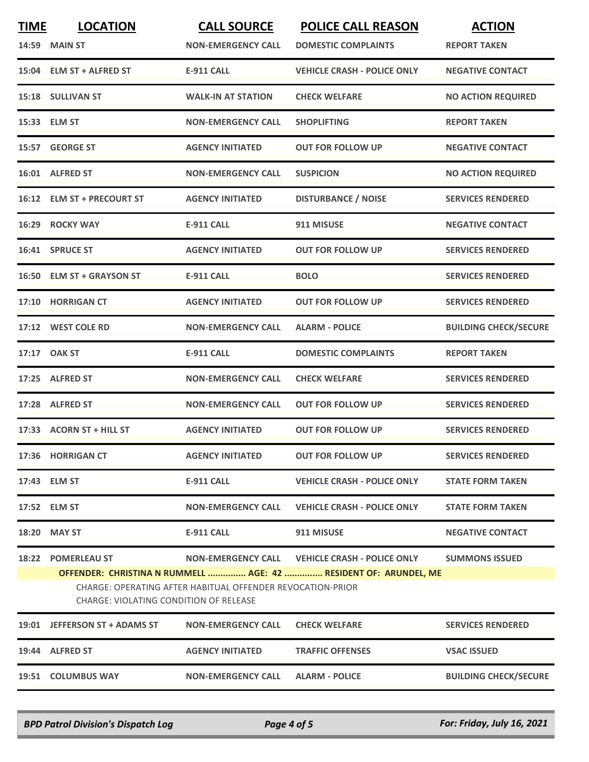| <b>TIME</b> | <b>LOCATION</b><br><b>14:59 MAIN ST</b>                      | <b>CALL SOURCE</b><br><b>NON-EMERGENCY CALL</b>            | <b>POLICE CALL REASON</b><br><b>DOMESTIC COMPLAINTS</b>                                                            | <b>ACTION</b><br><b>REPORT TAKEN</b> |
|-------------|--------------------------------------------------------------|------------------------------------------------------------|--------------------------------------------------------------------------------------------------------------------|--------------------------------------|
|             | 15:04 ELM ST + ALFRED ST                                     | <b>E-911 CALL</b>                                          | <b>VEHICLE CRASH - POLICE ONLY</b>                                                                                 | <b>NEGATIVE CONTACT</b>              |
|             | 15:18 SULLIVAN ST                                            | <b>WALK-IN AT STATION</b>                                  | <b>CHECK WELFARE</b>                                                                                               | <b>NO ACTION REQUIRED</b>            |
|             | 15:33 ELM ST                                                 | <b>NON-EMERGENCY CALL</b>                                  | <b>SHOPLIFTING</b>                                                                                                 | <b>REPORT TAKEN</b>                  |
|             | 15:57 GEORGE ST                                              | <b>AGENCY INITIATED</b>                                    | <b>OUT FOR FOLLOW UP</b>                                                                                           | <b>NEGATIVE CONTACT</b>              |
|             | 16:01 ALFRED ST                                              | <b>NON-EMERGENCY CALL</b>                                  | <b>SUSPICION</b>                                                                                                   | <b>NO ACTION REQUIRED</b>            |
|             | 16:12 ELM ST + PRECOURT ST                                   | <b>AGENCY INITIATED</b>                                    | <b>DISTURBANCE / NOISE</b>                                                                                         | <b>SERVICES RENDERED</b>             |
| 16:29       | <b>ROCKY WAY</b>                                             | <b>E-911 CALL</b>                                          | 911 MISUSE                                                                                                         | <b>NEGATIVE CONTACT</b>              |
|             | 16:41 SPRUCE ST                                              | <b>AGENCY INITIATED</b>                                    | <b>OUT FOR FOLLOW UP</b>                                                                                           | <b>SERVICES RENDERED</b>             |
|             | 16:50 ELM ST + GRAYSON ST                                    | <b>E-911 CALL</b>                                          | <b>BOLO</b>                                                                                                        | <b>SERVICES RENDERED</b>             |
|             | 17:10 HORRIGAN CT                                            | <b>AGENCY INITIATED</b>                                    | <b>OUT FOR FOLLOW UP</b>                                                                                           | <b>SERVICES RENDERED</b>             |
|             | 17:12 WEST COLE RD                                           | <b>NON-EMERGENCY CALL</b>                                  | <b>ALARM - POLICE</b>                                                                                              | <b>BUILDING CHECK/SECURE</b>         |
| 17:17       | <b>OAK ST</b>                                                | <b>E-911 CALL</b>                                          | <b>DOMESTIC COMPLAINTS</b>                                                                                         | <b>REPORT TAKEN</b>                  |
|             | 17:25 ALFRED ST                                              | <b>NON-EMERGENCY CALL</b>                                  | <b>CHECK WELFARE</b>                                                                                               | <b>SERVICES RENDERED</b>             |
| 17:28       | <b>ALFRED ST</b>                                             | <b>NON-EMERGENCY CALL</b>                                  | <b>OUT FOR FOLLOW UP</b>                                                                                           | <b>SERVICES RENDERED</b>             |
|             | 17:33 ACORN ST + HILL ST                                     | <b>AGENCY INITIATED</b>                                    | <b>OUT FOR FOLLOW UP</b>                                                                                           | <b>SERVICES RENDERED</b>             |
|             | 17:36 HORRIGAN CT                                            | <b>AGENCY INITIATED</b>                                    | <b>OUT FOR FOLLOW UP</b>                                                                                           | <b>SERVICES RENDERED</b>             |
|             | 17:43 ELM ST                                                 | E-911 CALL                                                 | <b>VEHICLE CRASH - POLICE ONLY</b>                                                                                 | <b>STATE FORM TAKEN</b>              |
|             | 17:52 ELM ST                                                 | <b>NON-EMERGENCY CALL</b>                                  | <b>VEHICLE CRASH - POLICE ONLY</b>                                                                                 | <b>STATE FORM TAKEN</b>              |
|             | 18:20 MAY ST                                                 | E-911 CALL                                                 | 911 MISUSE                                                                                                         | <b>NEGATIVE CONTACT</b>              |
|             | 18:22 POMERLEAU ST<br>CHARGE: VIOLATING CONDITION OF RELEASE | CHARGE: OPERATING AFTER HABITUAL OFFENDER REVOCATION-PRIOR | NON-EMERGENCY CALL VEHICLE CRASH - POLICE ONLY<br>OFFENDER: CHRISTINA N RUMMELL  AGE: 42  RESIDENT OF: ARUNDEL, ME | <b>SUMMONS ISSUED</b>                |
|             | 19:01 JEFFERSON ST + ADAMS ST                                | <b>NON-EMERGENCY CALL</b>                                  | <b>CHECK WELFARE</b>                                                                                               | <b>SERVICES RENDERED</b>             |
|             | 19:44 ALFRED ST                                              | <b>AGENCY INITIATED</b>                                    | <b>TRAFFIC OFFENSES</b>                                                                                            | <b>VSAC ISSUED</b>                   |
|             | 19:51 COLUMBUS WAY                                           | NON-EMERGENCY CALL                                         | <b>ALARM - POLICE</b>                                                                                              | <b>BUILDING CHECK/SECURE</b>         |

*BPD Patrol Division's Dispatch Log Page 4 of 5 For: Friday, July 16, 2021*